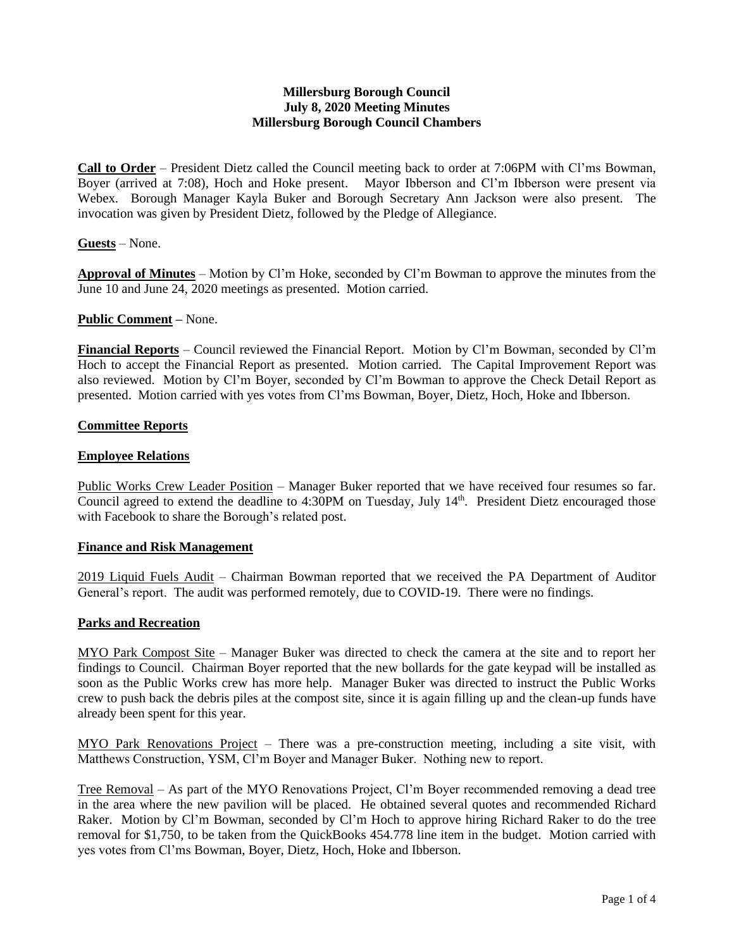## **Millersburg Borough Council July 8, 2020 Meeting Minutes Millersburg Borough Council Chambers**

**Call to Order** – President Dietz called the Council meeting back to order at 7:06PM with Cl'ms Bowman, Boyer (arrived at 7:08), Hoch and Hoke present. Mayor Ibberson and Cl'm Ibberson were present via Webex. Borough Manager Kayla Buker and Borough Secretary Ann Jackson were also present. The invocation was given by President Dietz, followed by the Pledge of Allegiance.

## **Guests** – None.

**Approval of Minutes** – Motion by Cl'm Hoke, seconded by Cl'm Bowman to approve the minutes from the June 10 and June 24, 2020 meetings as presented. Motion carried.

## **Public Comment –** None.

**Financial Reports** – Council reviewed the Financial Report. Motion by Cl'm Bowman, seconded by Cl'm Hoch to accept the Financial Report as presented. Motion carried. The Capital Improvement Report was also reviewed. Motion by Cl'm Boyer, seconded by Cl'm Bowman to approve the Check Detail Report as presented. Motion carried with yes votes from Cl'ms Bowman, Boyer, Dietz, Hoch, Hoke and Ibberson.

# **Committee Reports**

### **Employee Relations**

Public Works Crew Leader Position – Manager Buker reported that we have received four resumes so far. Council agreed to extend the deadline to 4:30PM on Tuesday, July 14<sup>th</sup>. President Dietz encouraged those with Facebook to share the Borough's related post.

#### **Finance and Risk Management**

2019 Liquid Fuels Audit – Chairman Bowman reported that we received the PA Department of Auditor General's report. The audit was performed remotely, due to COVID-19. There were no findings.

## **Parks and Recreation**

MYO Park Compost Site – Manager Buker was directed to check the camera at the site and to report her findings to Council. Chairman Boyer reported that the new bollards for the gate keypad will be installed as soon as the Public Works crew has more help. Manager Buker was directed to instruct the Public Works crew to push back the debris piles at the compost site, since it is again filling up and the clean-up funds have already been spent for this year.

MYO Park Renovations Project – There was a pre-construction meeting, including a site visit, with Matthews Construction, YSM, Cl'm Boyer and Manager Buker. Nothing new to report.

Tree Removal – As part of the MYO Renovations Project, Cl'm Boyer recommended removing a dead tree in the area where the new pavilion will be placed. He obtained several quotes and recommended Richard Raker. Motion by Cl'm Bowman, seconded by Cl'm Hoch to approve hiring Richard Raker to do the tree removal for \$1,750, to be taken from the QuickBooks 454.778 line item in the budget. Motion carried with yes votes from Cl'ms Bowman, Boyer, Dietz, Hoch, Hoke and Ibberson.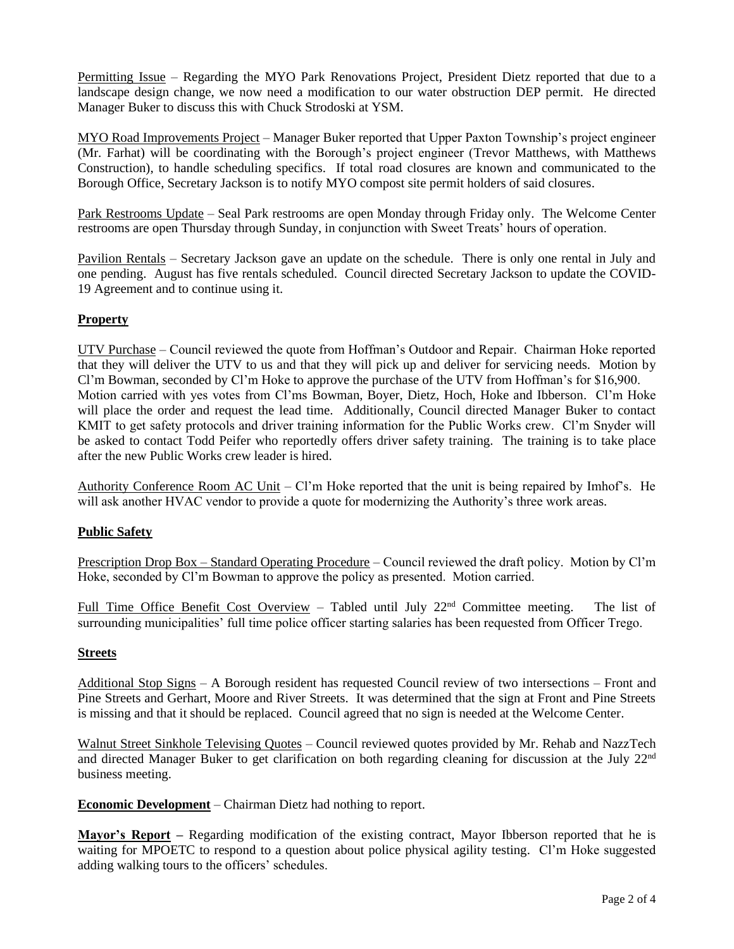Permitting Issue – Regarding the MYO Park Renovations Project, President Dietz reported that due to a landscape design change, we now need a modification to our water obstruction DEP permit. He directed Manager Buker to discuss this with Chuck Strodoski at YSM.

MYO Road Improvements Project – Manager Buker reported that Upper Paxton Township's project engineer (Mr. Farhat) will be coordinating with the Borough's project engineer (Trevor Matthews, with Matthews Construction), to handle scheduling specifics. If total road closures are known and communicated to the Borough Office, Secretary Jackson is to notify MYO compost site permit holders of said closures.

Park Restrooms Update – Seal Park restrooms are open Monday through Friday only. The Welcome Center restrooms are open Thursday through Sunday, in conjunction with Sweet Treats' hours of operation.

Pavilion Rentals – Secretary Jackson gave an update on the schedule. There is only one rental in July and one pending. August has five rentals scheduled. Council directed Secretary Jackson to update the COVID-19 Agreement and to continue using it.

# **Property**

UTV Purchase – Council reviewed the quote from Hoffman's Outdoor and Repair. Chairman Hoke reported that they will deliver the UTV to us and that they will pick up and deliver for servicing needs. Motion by Cl'm Bowman, seconded by Cl'm Hoke to approve the purchase of the UTV from Hoffman's for \$16,900. Motion carried with yes votes from Cl'ms Bowman, Boyer, Dietz, Hoch, Hoke and Ibberson. Cl'm Hoke will place the order and request the lead time. Additionally, Council directed Manager Buker to contact KMIT to get safety protocols and driver training information for the Public Works crew. Cl'm Snyder will be asked to contact Todd Peifer who reportedly offers driver safety training. The training is to take place after the new Public Works crew leader is hired.

Authority Conference Room AC Unit – Cl'm Hoke reported that the unit is being repaired by Imhof's. He will ask another HVAC vendor to provide a quote for modernizing the Authority's three work areas.

## **Public Safety**

Prescription Drop Box – Standard Operating Procedure – Council reviewed the draft policy. Motion by Cl'm Hoke, seconded by Cl'm Bowman to approve the policy as presented. Motion carried.

Full Time Office Benefit Cost Overview - Tabled until July 22<sup>nd</sup> Committee meeting. The list of surrounding municipalities' full time police officer starting salaries has been requested from Officer Trego.

### **Streets**

Additional Stop Signs – A Borough resident has requested Council review of two intersections – Front and Pine Streets and Gerhart, Moore and River Streets. It was determined that the sign at Front and Pine Streets is missing and that it should be replaced. Council agreed that no sign is needed at the Welcome Center.

Walnut Street Sinkhole Televising Quotes – Council reviewed quotes provided by Mr. Rehab and NazzTech and directed Manager Buker to get clarification on both regarding cleaning for discussion at the July 22nd business meeting.

**Economic Development** – Chairman Dietz had nothing to report.

**Mayor's Report –** Regarding modification of the existing contract, Mayor Ibberson reported that he is waiting for MPOETC to respond to a question about police physical agility testing. Cl'm Hoke suggested adding walking tours to the officers' schedules.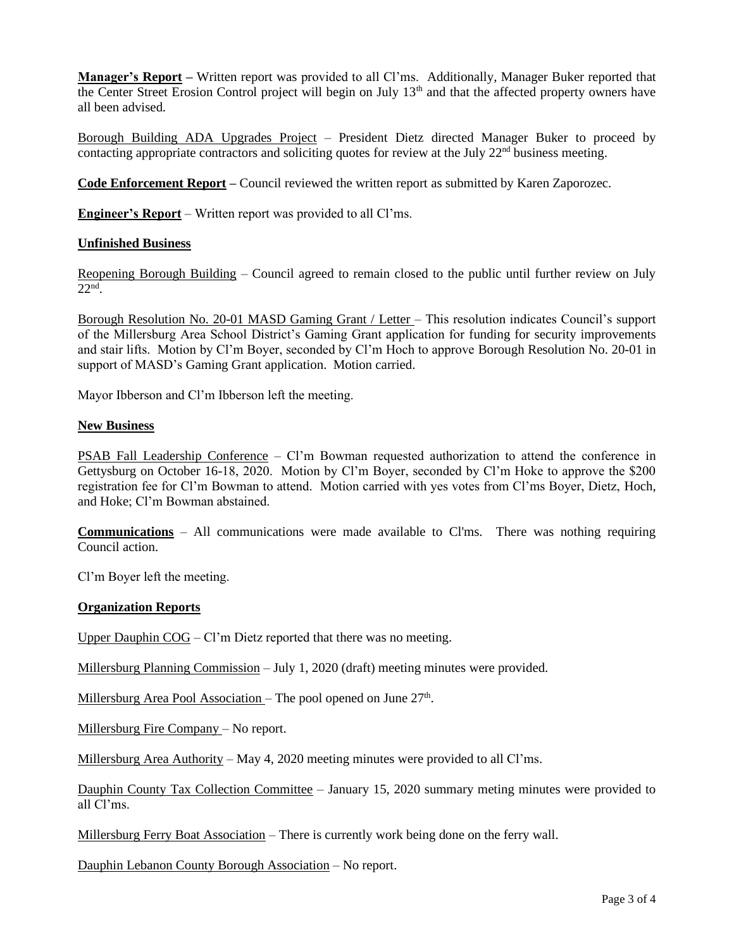**Manager's Report –** Written report was provided to all Cl'ms. Additionally, Manager Buker reported that the Center Street Erosion Control project will begin on July 13th and that the affected property owners have all been advised.

Borough Building ADA Upgrades Project – President Dietz directed Manager Buker to proceed by contacting appropriate contractors and soliciting quotes for review at the July 22<sup>nd</sup> business meeting.

**Code Enforcement Report –** Council reviewed the written report as submitted by Karen Zaporozec.

**Engineer's Report** – Written report was provided to all Cl'ms.

## **Unfinished Business**

Reopening Borough Building – Council agreed to remain closed to the public until further review on July 22nd .

Borough Resolution No. 20-01 MASD Gaming Grant / Letter – This resolution indicates Council's support of the Millersburg Area School District's Gaming Grant application for funding for security improvements and stair lifts. Motion by Cl'm Boyer, seconded by Cl'm Hoch to approve Borough Resolution No. 20-01 in support of MASD's Gaming Grant application. Motion carried.

Mayor Ibberson and Cl'm Ibberson left the meeting.

### **New Business**

PSAB Fall Leadership Conference – Cl'm Bowman requested authorization to attend the conference in Gettysburg on October 16-18, 2020. Motion by Cl'm Boyer, seconded by Cl'm Hoke to approve the \$200 registration fee for Cl'm Bowman to attend. Motion carried with yes votes from Cl'ms Boyer, Dietz, Hoch, and Hoke; Cl'm Bowman abstained.

**Communications** – All communications were made available to Cl'ms. There was nothing requiring Council action.

Cl'm Boyer left the meeting.

#### **Organization Reports**

Upper Dauphin COG – Cl'm Dietz reported that there was no meeting.

Millersburg Planning Commission – July 1, 2020 (draft) meeting minutes were provided.

Millersburg Area Pool Association – The pool opened on June 27<sup>th</sup>.

Millersburg Fire Company – No report.

Millersburg Area Authority – May 4, 2020 meeting minutes were provided to all Cl'ms.

Dauphin County Tax Collection Committee – January 15, 2020 summary meting minutes were provided to all Cl'ms.

Millersburg Ferry Boat Association - There is currently work being done on the ferry wall.

Dauphin Lebanon County Borough Association – No report.